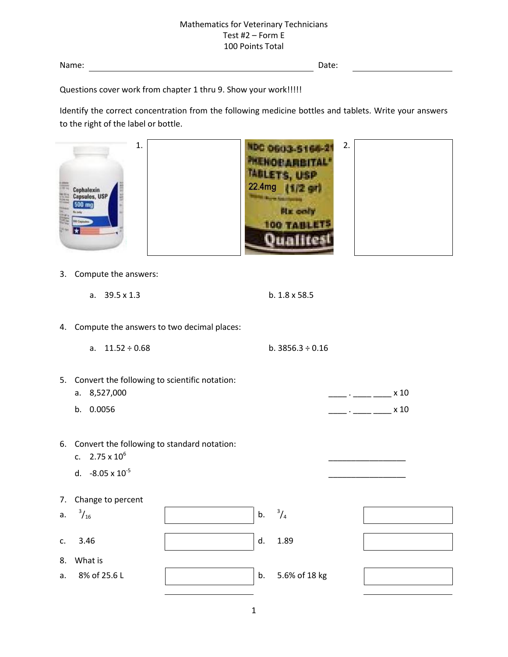Name: Date:

Questions cover work from chapter 1 thru 9. Show your work!!!!!

Identify the correct concentration from the following medicine bottles and tablets. Write your answers to the right of the label or bottle.

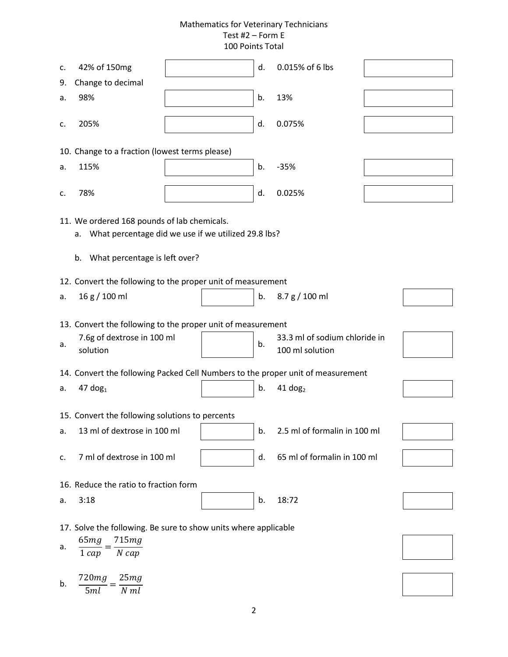| c.                                                                                                       | 42% of 150mg                           |  | d. | 0.015% of 6 lbs                                  |  |  |  |  |  |
|----------------------------------------------------------------------------------------------------------|----------------------------------------|--|----|--------------------------------------------------|--|--|--|--|--|
| 9.                                                                                                       | Change to decimal                      |  |    |                                                  |  |  |  |  |  |
| a.                                                                                                       | 98%                                    |  | b. | 13%                                              |  |  |  |  |  |
| c.                                                                                                       | 205%                                   |  | d. | 0.075%                                           |  |  |  |  |  |
| 10. Change to a fraction (lowest terms please)                                                           |                                        |  |    |                                                  |  |  |  |  |  |
| a.                                                                                                       | 115%                                   |  | b. | $-35%$                                           |  |  |  |  |  |
| c.                                                                                                       | 78%                                    |  | d. | 0.025%                                           |  |  |  |  |  |
| 11. We ordered 168 pounds of lab chemicals.<br>What percentage did we use if we utilized 29.8 lbs?<br>а. |                                        |  |    |                                                  |  |  |  |  |  |
|                                                                                                          |                                        |  |    |                                                  |  |  |  |  |  |
|                                                                                                          | What percentage is left over?<br>b.    |  |    |                                                  |  |  |  |  |  |
| 12. Convert the following to the proper unit of measurement                                              |                                        |  |    |                                                  |  |  |  |  |  |
| a.                                                                                                       | 16 g / 100 ml                          |  | b. | 8.7 g / 100 ml                                   |  |  |  |  |  |
| 13. Convert the following to the proper unit of measurement                                              |                                        |  |    |                                                  |  |  |  |  |  |
| a.                                                                                                       | 7.6g of dextrose in 100 ml<br>solution |  | b. | 33.3 ml of sodium chloride in<br>100 ml solution |  |  |  |  |  |
| 14. Convert the following Packed Cell Numbers to the proper unit of measurement                          |                                        |  |    |                                                  |  |  |  |  |  |
| a.                                                                                                       | $47$ dog <sub>1</sub>                  |  | b. | $41$ dog <sub>2</sub>                            |  |  |  |  |  |
| 15. Convert the following solutions to percents                                                          |                                        |  |    |                                                  |  |  |  |  |  |
| a.                                                                                                       | 13 ml of dextrose in 100 ml            |  | b. | 2.5 ml of formalin in 100 ml                     |  |  |  |  |  |
| c.                                                                                                       | 7 ml of dextrose in 100 ml             |  | d. | 65 ml of formalin in 100 ml                      |  |  |  |  |  |
| 16. Reduce the ratio to fraction form                                                                    |                                        |  |    |                                                  |  |  |  |  |  |
| a.                                                                                                       | 3:18                                   |  | b. | 18:72                                            |  |  |  |  |  |
| 17. Solve the following. Be sure to show units where applicable                                          |                                        |  |    |                                                  |  |  |  |  |  |
| a.                                                                                                       | 715mg<br>65mg<br>$N$ cap<br>$1 \, cap$ |  |    |                                                  |  |  |  |  |  |
| b.                                                                                                       | 720mg<br>25mg<br>$N$ $ml$<br>5ml       |  |    |                                                  |  |  |  |  |  |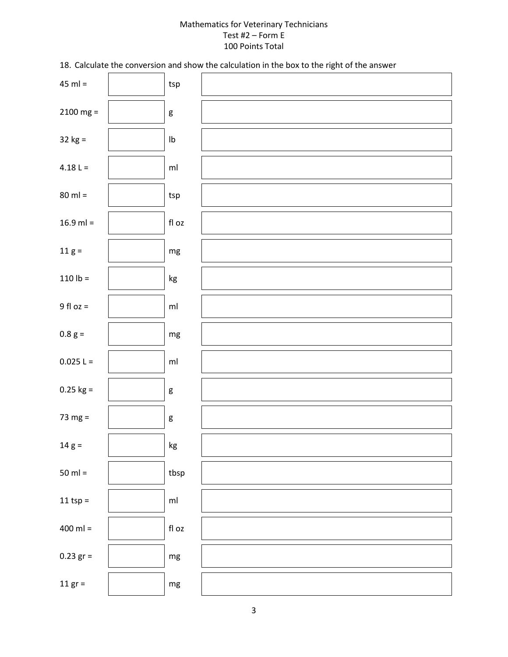18. Calculate the conversion and show the calculation in the box to the right of the answer

| $45$ ml =       | $\ensuremath{\mathsf{tsp}}$ |  |
|-----------------|-----------------------------|--|
| $2100$ mg =     | $\mathsf g$                 |  |
| $32 kg =$       | $\mathsf{lb}$               |  |
| $4.18 L =$      | $\mathsf{m}\mathsf{l}$      |  |
| $80$ ml =       | $\ensuremath{\mathsf{tsp}}$ |  |
| $16.9$ ml =     | fl oz                       |  |
| $11 g =$        | $\mathsf{mg}$               |  |
| $110 lb =$      | $\mathsf{kg}$               |  |
| $9$ fl oz =     | ml                          |  |
| $0.8~{\rm g}$ = | $\mathsf{mg}$               |  |
| $0.025 L =$     | ml                          |  |
| $0.25$ kg =     | $\mathsf g$                 |  |
| 73 mg $=$       | $\mathsf g$                 |  |
| $14 g =$        | $\mathsf{kg}$               |  |
| $50$ ml =       | tbsp                        |  |
| 11 tsp $=$      | $\mathsf{m}\mathsf{l}$      |  |
| $400$ ml =      | $\operatorname{\sf fl}$ oz  |  |
| $0.23$ gr =     | $mg$                        |  |
| 11 $gr =$       | $mg\,$                      |  |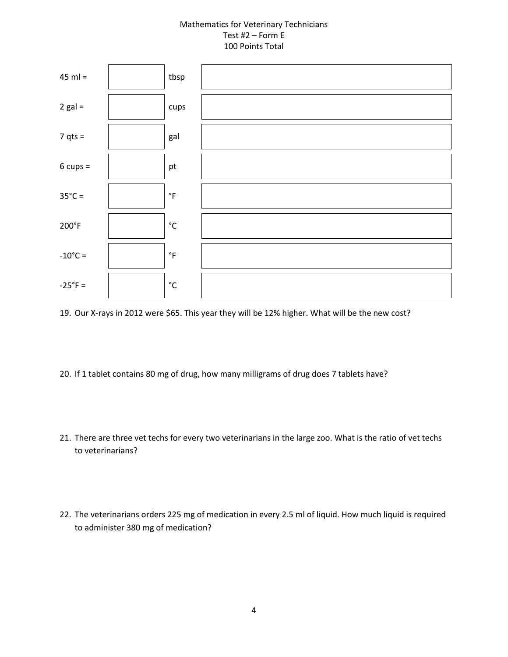

19. Our X-rays in 2012 were \$65. This year they will be 12% higher. What will be the new cost?

- 20. If 1 tablet contains 80 mg of drug, how many milligrams of drug does 7 tablets have?
- 21. There are three vet techs for every two veterinarians in the large zoo. What is the ratio of vet techs to veterinarians?
- 22. The veterinarians orders 225 mg of medication in every 2.5 ml of liquid. How much liquid is required to administer 380 mg of medication?